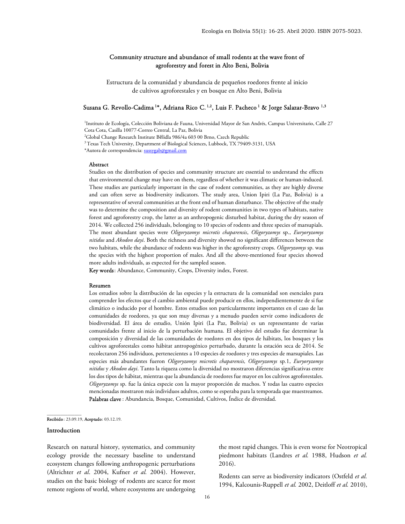# Community structure and abundance of small rodents at the wave front of agroforestry and forest in Alto Beni, Bolivia

Estructura de la comunidad y abundancia de pequeños roedores frente al inicio de cultivos agroforestales y en bosque en Alto Beni, Bolivia

### Susana G. Revollo-Cadima <sup>1</sup>\*, Adriana Rico C. <sup>1,2</sup>, Luis F. Pacheco <sup>1</sup> & Jorge Salazar-Bravo <sup>1,3</sup>

1 Instituto de Ecología, Colección Boliviana de Fauna, Universidad Mayor de San Andrés, Campus Universitario, Calle 27 Cota Cota, Casilla 10077-Correo Central, La Paz, Bolivia <sup>2</sup>Global Change Research Institute Bĕlidla 986/4a 603 00 Brno, Czech Republic <sup>3</sup> Texas Tech University, Department of Biological Sciences, Lubbock, TX 79409-3131, USA \*Autora de correspondencia: sussygab@gmail.com

### Abstract

Studies on the distribution of species and community structure are essential to understand the effects that environmental change may have on them, regardless of whether it was climatic or human-induced. These studies are particularly important in the case of rodent communities, as they are highly diverse and can often serve as biodiversity indicators. The study area, Union Ipiri (La Paz, Bolivia) is a representative of several communities at the front end of human disturbance. The objective of the study was to determine the composition and diversity of rodent communities in two types of habitats, native forest and agroforestry crop, the latter as an anthropogenic disturbed habitat, during the dry season of 2014. We collected 256 individuals, belonging to 10 species of rodents and three species of marsupials. The most abundant species were Oligoryzomys microtis chaparensis, Oligoryzomys sp., Euryoryzomys nitidus and Akodon dayi. Both the richness and diversity showed no significant differences between the two habitats, while the abundance of rodents was higher in the agroforestry crops. Oligoryzomys sp. was the species with the highest proportion of males. And all the above-mentioned four species showed more adults individuals, as expected for the sampled season.

Key words: Abundance, Community, Crops, Diversity index, Forest.

#### Resumen

Los estudios sobre la distribución de las especies y la estructura de la comunidad son esenciales para comprender los efectos que el cambio ambiental puede producir en ellos, independientemente de si fue climático o inducido por el hombre. Estos estudios son particularmente importantes en el caso de las comunidades de roedores, ya que son muy diversas y a menudo pueden servir como indicadores de biodiversidad. El área de estudio, Unión Ipiri (La Paz, Bolivia) es un representante de varias comunidades frente al inicio de la perturbación humana. El objetivo del estudio fue determinar la composición y diversidad de las comunidades de roedores en dos tipos de hábitats, los bosques y los cultivos agroforestales como hábitat antropogénico perturbado, durante la estación seca de 2014. Se recolectaron 256 individuos, pertenecientes a 10 especies de roedores y tres especies de marsupiales. Las especies más abundantes fueron Oligoryzomys microtis chaparensis, Oligoryzomys sp.1, Euryoryzomys nitidus y Akodon dayi. Tanto la riqueza como la diversidad no mostraron diferencias significativas entre los dos tipos de hábitat, mientras que la abundancia de roedores fue mayor en los cultivos agroforestales. Oligoryzomys sp. fue la única especie con la mayor proporción de machos. Y todas las cuatro especies mencionadas mostraron más individuos adultos, como se esperaba para la temporada que muestreamos. Palabras clave : Abundancia, Bosque, Comunidad, Cultivos, Índice de diversidad.

#### Recibido : 23.09.19, Aceptado: 03.12.19.

### Introduction

\_\_\_\_\_\_\_\_\_\_\_\_\_\_\_

Research on natural history, systematics, and community ecology provide the necessary baseline to understand ecosystem changes following anthropogenic perturbations (Altrichter et al. 2004, Kufner et al. 2004). However, studies on the basic biology of rodents are scarce for most remote regions of world, where ecosystems are undergoing the most rapid changes. This is even worse for Neotropical piedmont habitats (Landres et al. 1988, Hudson et al. 2016).

Rodents can serve as biodiversity indicators (Ostfeld et al. 1994, Kalcounis-Ruppell et al. 2002, Deitloff et al. 2010),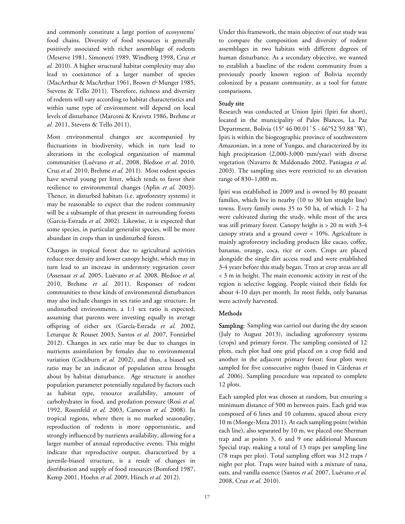and commonly constitute a large portion of ecosystems' food chains. Diversity of food resources is generally positively associated with richer assemblage of rodents (Meserve 1981, Simonetti 1989, Windberg 1998, Cruz et al. 2010). A higher structural habitat complexity may also lead to coexistence of a larger number of species (MacArthur & MacArthur 1961, Brown & Munger 1985, Stevens & Tello 2011). Therefore, richness and diversity of rodents will vary according to habitat characteristics and within same type of environment will depend on local levels of disturbance (Marconi & Kravetz 1986, Brehme et al. 2011, Stevens & Tello 2011).

Most environmental changes are accompanied by fluctuations in biodiversity, which in turn lead to alterations in the ecological organization of mammal communities (Luévano et al., 2008, Bledsoe et al. 2010, Cruz et al. 2010, Brehme et al. 2011). Most rodent species have several young per litter, which tends to favor their resilience to environmental changes (Aplin et al. 2003). Thence, in disturbed habitats (i.e. agroforestry systems) it may be reasonable to expect that the rodent community will be a subsample of that present in surrounding forests (Garcia-Estrada et al. 2002). Likewise, it is expected that some species, in particular generalist species, will be more abundant in crops than in undisturbed forests.

Changes in tropical forest due to agricultural activities reduce tree density and lower canopy height, which may in turn lead to an increase in understory vegetation cover (Assenaar et al. 2005, Luévano et al. 2008, Bledsoe et al. 2010, Brehme et al. 2011). Responses of rodent communities to these kinds of environmental disturbances may also include changes in sex ratio and age structure. In undisturbed environments, a 1:1 sex ratio is expected, assuming that parents were investing equally in average offspring of either sex (García-Estrada et al. 2002, Leturque & Rouset 2003, Santos et al. 2007, Fontúrbel 2012). Changes in sex ratio may be due to changes in nutrients assimilation by females due to environmental variation (Cockburn et al. 2002), and thus, a biased sex ratio may be an indicator of population stress brought about by habitat disturbance. Age structure is another population parameter potentially regulated by factors such as habitat type, resource availability, amount of carbohydrates in food, and predation pressure (Rosi et al. 1992, Rosenfeld et al. 2003, Cameron et al. 2008). In tropical regions, where there is no marked seasonality, reproduction of rodents is more opportunistic, and strongly influenced by nutrients availability, allowing for a larger number of annual reproductive events. This might indicate that reproductive output, characterized by a juvenile-biased structure, is a result of changes in distribution and supply of food resources (Bomford 1987, Kemp 2001, Hoehn et al. 2009, Hirsch et al. 2012).

Under this framework, the main objective of our study was to compare the composition and diversity of rodent assemblages in two habitats with different degrees of human disturbance. As a secondary objective, we wanted to establish a baseline of the rodent community from a previously poorly known region of Bolivia recently colonized by a peasant community, as a tool for future comparisons.

# Study site

Research was conducted at Union Ipiri (Ipiri for short), located in the municipality of Palos Blancos, La Paz Department, Bolivia (15° 46'00.01" S - 66°52'59.88" W). Ipiri is within the biogeographic province of southwestern Amazonian, in a zone of Yungas, and characterized by its high precipitation (2,000-3,000 mm/year) with diverse vegetation (Navarro & Maldonado 2002, Paniagua et al. 2003). The sampling sites were restricted to an elevation range of 830–1,000 m.

Ipiri was established in 2009 and is owned by 80 peasant families, which live in nearby (10 to 30 km straight line) towns. Every family owns 35 to 50 ha, of which 1- 2 ha were cultivated during the study, while most of the area was still primary forest. Canopy height is > 20 m with 3-4 canopy strata and a ground cover < 10%. Agriculture is mainly agroforestry including products like cacao, coffee, bananas, orange, coca, rice or corn. Crops are placed alongside the single dirt access road and were established 3-4 years before this study began. Trees at crop areas are all < 3 m in height. The main economic activity in rest of the region is selective logging. People visited their fields for about 4-10 days per month. In most fields, only bananas were actively harvested.

# **Methods**

Sampling: Sampling was carried out during the dry season (July to August 2013), including agroforestry systems (crops) and primary forest. The sampling consisted of 12 plots, each plot had one grid placed on a crop field and another in the adjacent primary forest; four plots were sampled for five consecutive nights (based in Cárdenas et al. 2006). Sampling procedure was repeated to complete 12 plots.

Each sampled plot was chosen at random, but ensuring a minimum distance of 500 m between pairs. Each grid was composed of 6 lines and 10 columns, spaced about every 10 m (Monge-Meza 2011). At each sampling point (within each line), also separated by 10 m, we placed one Sherman trap and at points 3, 6 and 9 one additional Museum Special trap, making a total of 13 traps per sampling line (78 traps per plot). Total sampling effort was 312 traps / night per plot. Traps were baited with a mixture of tuna, oats, and vanilla essence (Santos et al. 2007, Luévano et al. 2008, Cruz et al. 2010).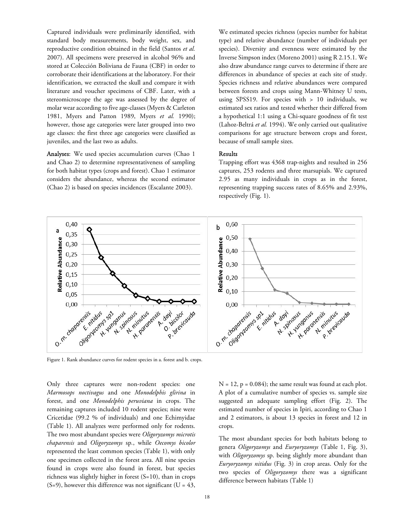Captured individuals were preliminarily identified, with standard body measurements, body weight, sex, and reproductive condition obtained in the field (Santos et al. 2007). All specimens were preserved in alcohol 96% and stored at Colección Boliviana de Fauna (CBF) in order to corroborate their identifications at the laboratory. For their identification, we extracted the skull and compare it with literature and voucher specimens of CBF. Later, with a stereomicroscope the age was assessed by the degree of molar wear according to five age-classes (Myers & Carleton 1981, Myers and Patton 1989, Myers et al. 1990); however, those age categories were later grouped into two age classes: the first three age categories were classified as juveniles, and the last two as adults.

Analyses: We used species accumulation curves (Chao 1 and Chao 2) to determine representativeness of sampling for both habitat types (crops and forest). Chao 1 estimator considers the abundance, whereas the second estimator (Chao 2) is based on species incidences (Escalante 2003).

We estimated species richness (species number for habitat type) and relative abundance (number of individuals per species). Diversity and evenness were estimated by the Inverse Simpson index (Moreno 2001) using R 2.15.1. We also draw abundance range curves to determine if there are differences in abundance of species at each site of study. Species richness and relative abundances were compared between forests and crops using Mann-Whitney U tests, using SPSS19. For species with > 10 individuals, we estimated sex ratios and tested whether their differed from a hypothetical 1:1 using a Chi-square goodness of fit test (Lahoz-Beltrá et al. 1994). We only carried out qualitative comparisons for age structure between crops and forest, because of small sample sizes.

## Results

Trapping effort was 4368 trap-nights and resulted in 256 captures, 253 rodents and three marsupials. We captured 2.95 as many individuals in crops as in the forest, representing trapping success rates of 8.65% and 2.93%, respectively (Fig. 1).



Figure 1. Rank abundance curves for rodent species in a. forest and b. crops.

Only three captures were non-rodent species: one Marmosops noctivagus and one Monodelphis glirina in forest, and one Monodelphis peruviana in crops. The remaining captures included 10 rodent species; nine were Cricetidae (99.2 % of individuals) and one Echimyidae (Table 1). All analyzes were performed only for rodents. The two most abundant species were Oligoryzomys microtis chaparensis and Oligoryzomys sp., while Oecomys bicolor represented the least common species (Table 1), with only one specimen collected in the forest area. All nine species found in crops were also found in forest, but species richness was slightly higher in forest (S=10), than in crops  $(S=9)$ , however this difference was not significant  $(U = 43,$ 

 $N = 12$ ,  $p = 0.084$ ; the same result was found at each plot. A plot of a cumulative number of species vs. sample size suggested an adequate sampling effort (Fig. 2). The estimated number of species in Ipiri, according to Chao 1 and 2 estimators, is about 13 species in forest and 12 in crops.

The most abundant species for both habitats belong to genera Oligoryzomys and Euryoryzomys (Table 1, Fig. 3), with *Oligoryzomys* sp. being slightly more abundant than Euryoryzomys nitidus (Fig. 3) in crop areas. Only for the two species of Oligoryzomys there was a significant difference between habitats (Table 1)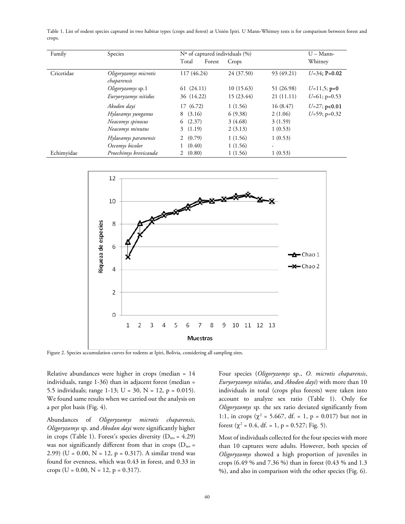Table 1. List of rodent species captured in two habitat types (crops and forest) at Unión Ipiri. U Mann-Whitney tests is for comparison between forest and crops.

| Family     | Species                              | Nº of captured individuals (%) |            |            | $U -$ Mann-     |
|------------|--------------------------------------|--------------------------------|------------|------------|-----------------|
|            |                                      | Total<br>Forest                | Crops      |            | Whitney         |
| Cricetidae | Oligoryzomys microtis<br>chaparensis | 117 (46.24)                    | 24 (37.50) | 93 (49.21) | $U=34$ ; P=0.02 |
|            | Oligoryzomys sp.1                    | 61(24.11)                      | 10(15.63)  | 51 (26.98) | $U=11,5;$ p=0   |
|            | Euryoryzomys nitidus                 | 36 (14.22)                     | 15 (23.44) | 21(11.11)  | $U=61$ ; p=0.53 |
|            | Akodon dayi                          | 17(6.72)                       | 1(1.56)    | 16(8.47)   | $U=27; p<0.01$  |
|            | Hylaeamys yunganus                   | (3.16)<br>8                    | 6(9.38)    | 2(1.06)    | $U=59$ ; p=0.32 |
|            | Neacomys spinosus                    | 6(2.37)                        | 3(4.68)    | 3(1.59)    |                 |
|            | Neacomys minutus                     | 3(1.19)                        | 2(3.13)    | 1(0.53)    |                 |
|            | Hylaeamys paranensis                 | 2(0.79)                        | 1(1.56)    | 1(0.53)    |                 |
|            | Oecomys bicolor                      | (0.40)                         | 1(1.56)    | ٠          |                 |
| Echimyidae | Proechimys brevicauda                | (0.80)                         | 1(1.56)    | 1(0.53)    |                 |



Figure 2. Species accumulation curves for rodents at Ipiri, Bolivia, considering all sampling sites.

Relative abundances were higher in crops (median = 14 individuals, range 1-36) than in adjacent forest (median = 5.5 individuals; range 1-13; U = 30, N = 12, p = 0.015). We found same results when we carried out the analysis on a per plot basis (Fig. 4).

Abundances of Oligoryzomys microtis chaparensis, Oligoryzomys sp. and Akodon dayi were significantly higher in crops (Table 1). Forest's species diversity ( $D_{inv} = 4.29$ ) was not significantly different from that in crops ( $D_{inv}$  = 2.99) (U = 0.00, N = 12, p = 0.317). A similar trend was found for evenness, which was 0.43 in forest, and 0.33 in crops (U = 0.00, N = 12, p = 0.317).

Four species (Oligoryzomys sp., O. microtis chaparensis, Euryoryzomys nitidus, and Akodon dayi) with more than 10 individuals in total (crops plus forests) were taken into account to analyze sex ratio (Table 1). Only for Oligoryzomys sp. the sex ratio deviated significantly from 1:1, in crops ( $\chi^2$  = 5.667, df. = 1, p = 0.017) but not in forest ( $\chi^2$  = 0.4, df. = 1, p = 0.527; Fig. 5).

Most of individuals collected for the four species with more than 10 captures were adults. However, both species of Oligoryzomys showed a high proportion of juveniles in crops (6.49 % and 7.36 %) than in forest (0.43 % and 1.3 %), and also in comparison with the other species (Fig. 6).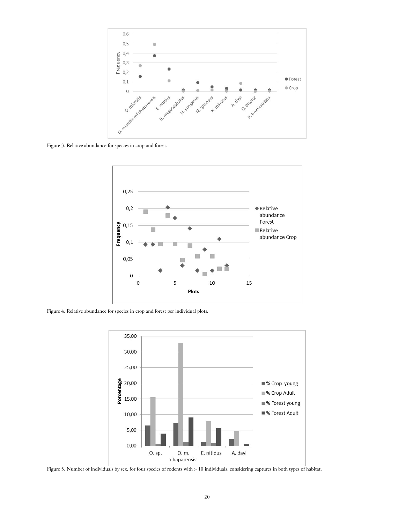

Figure 3. Relative abundance for species in crop and forest.



Figure 4. Relative abundance for species in crop and forest per individual plots.



Figure 5. Number of individuals by sex, for four species of rodents with > 10 individuals, considering captures in both types of habitat.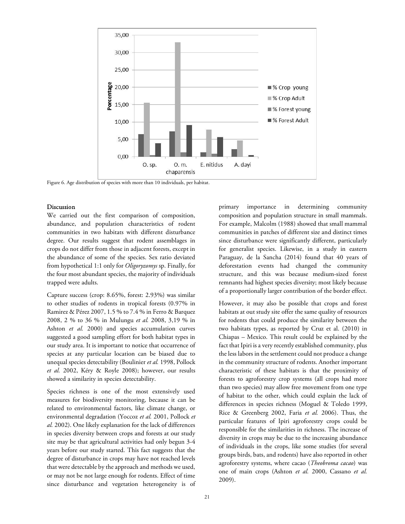

Figure 6. Age distribution of species with more than 10 individuals, per habitat.

### Discussion

We carried out the first comparison of composition, abundance, and population characteristics of rodent communities in two habitats with different disturbance degree. Our results suggest that rodent assemblages in crops do not differ from those in adjacent forests, except in the abundance of some of the species. Sex ratio deviated from hypothetical 1:1 only for Oligoryzomys sp. Finally, for the four most abundant species, the majority of individuals trapped were adults.

Capture success (crop: 8.65%, forest: 2.93%) was similar to other studies of rodents in tropical forests (0.97% in Ramirez & Pérez 2007, 1.5 % to 7.4 % in Ferro & Barquez 2008, 2 % to 36 % in Mulungu et al. 2008, 3,19 % in Ashton et al. 2000) and species accumulation curves suggested a good sampling effort for both habitat types in our study area. It is important to notice that occurrence of species at any particular location can be biased due to unequal species detectability (Boulinier et al. 1998, Pollock et al. 2002, Kéry & Royle 2008); however, our results showed a similarity in species detectability.

Species richness is one of the most extensively used measures for biodiversity monitoring, because it can be related to environmental factors, like climate change, or environmental degradation (Yoccoz et al. 2001, Pollock et al. 2002). One likely explanation for the lack of differences in species diversity between crops and forests at our study site may be that agricultural activities had only begun 3-4 years before our study started. This fact suggests that the degree of disturbance in crops may have not reached levels that were detectable by the approach and methods we used, or may not be not large enough for rodents. Effect of time since disturbance and vegetation heterogeneity is of

primary importance in determining community composition and population structure in small mammals. For example, Malcolm (1988) showed that small mammal communities in patches of different size and distinct times since disturbance were significantly different, particularly for generalist species. Likewise, in a study in eastern Paraguay, de la Sancha (2014) found that 40 years of deforestation events had changed the community structure, and this was because medium-sized forest remnants had highest species diversity; most likely because of a proportionally larger contribution of the border effect.

However, it may also be possible that crops and forest habitats at out study site offer the same quality of resources for rodents that could produce the similarity between the two habitats types, as reported by Cruz et al. (2010) in Chiapas – Mexico. This result could be explained by the fact that Ipiri is a very recently established community, plus the less labors in the settlement could not produce a change in the community structure of rodents. Another important characteristic of these habitats is that the proximity of forests to agroforestry crop systems (all crops had more than two species) may allow free movement from one type of habitat to the other, which could explain the lack of differences in species richness (Moguel & Toledo 1999, Rice & Greenberg 2002, Faria et al. 2006). Thus, the particular features of Ipiri agroforestry crops could be responsible for the similarities in richness. The increase of diversity in crops may be due to the increasing abundance of individuals in the crops, like some studies (for several groups birds, bats, and rodents) have also reported in other agroforestry systems, where cacao (Theobroma cacao) was one of main crops (Ashton et al. 2000, Cassano et al. 2009).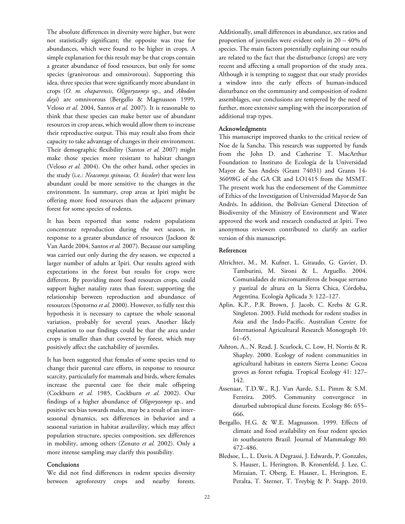The absolute differences in diversity were higher, but were not statistically significant; the opposite was true for abundances, which were found to be higher in crops. A simple explanation for this result may be that crops contain a greater abundance of food resources, but only for some species (granivorous and omnivorous). Supporting this idea, three species that were significantly more abundant in crops (O. m. chaparensis, Oligoryzomys sp., and Akodon dayi) are omnivorous (Bergallo & Magnusson 1999, Veloso et al. 2004, Santos et al. 2007). It is reasonable to think that these species can make better use of abundant resources in crop areas, which would allow them to increase their reproductive output. This may result also from their capacity to take advantage of changes in their environment. Their demographic flexibility (Santos et al. 2007) might make those species more resistant to habitat changes (Veloso et al. 2004). On the other hand, other species in the study (i.e.: Neacomys spinosus, O. bicolor) that were less abundant could be more sensitive to the changes in the environment. In summary, crop areas at Ipiri might be offering more food resources than the adjacent primary forest for some species of rodents.

It has been reported that some rodent populations concentrate reproduction during the wet season, in response to a greater abundance of resources (Jackson & Van Aarde 2004, Santos et al. 2007). Because our sampling was carried out only during the dry season, we expected a larger number of adults at Ipiri. Our results agreed with expectations in the forest but results for crops were different. By providing more food resources crops, could support higher natality rates than forest; supporting the relationship between reproduction and abundance of resources (Spotorno et al. 2000). However, to fully test this hypothesis it is necessary to capture the whole seasonal variation, probably for several years. Another likely explanation to our findings could be that the area under crops is smaller than that covered by forest, which may positively affect the catchability of juveniles.

It has been suggested that females of some species tend to change their parental care efforts, in response to resource scarcity, particularly for mammals and birds, where females increase the parental care for their male offspring (Cockburn et al. 1985, Cockburn et al. 2002). Our findings of a higher abundance of Oligoryzomys sp., and positive sex bias towards males, may be a result of an interseasonal dynamics, sex differences in behavior and a seasonal variation in habitat availavility, which may affect population structure, species composition, sex differences in mobility, among others (Zenuto et al. 2002). Only a more intense sampling may clarify this possibility.

### Conclusions

We did not find differences in rodent species diversity between agroforestry crops and nearby forests.

Additionally, small differences in abundance, sex ratios and proportion of juveniles were evident only in 20 – 40% of species. The main factors potentially explaining our results are related to the fact that the disturbance (crops) are very recent and affecting a small proportion of the study area. Although it is tempting to suggest that our study provides a window into the early effects of human-induced disturbance on the community and composition of rodent assemblages, our conclusions are tempered by the need of further, more extensive sampling with the incorporation of additional trap types.

### Acknowledgments

This manuscript improved thanks to the critical review of Noe de la Sancha. This research was supported by funds from the John D. and Catherine T. MacArthur Foundation to Instituto de Ecología de la Universidad Mayor de San Andrés (Grant 74031) and Grants 14- 36098G of the GA CR and LO1415 from the MSMT. The present work has the endorsement of the Committee of Ethics of the Investigation of Universidad Mayor de San Andrés. In addition, the Bolivian General Direction of Biodiversity of the Ministry of Environment and Water approved the work and research conducted at Ipiri. Two anonymous reviewers contributed to clarify an earlier version of this manuscript.

## References

- Altrichter, M., M. Kufner, L. Giraudo, G. Gavier, D. Tamburini, M. Sironi & L. Arguello. 2004. Comunidades de micromamíferos de bosque serrano y pastizal de altura en la Sierra Chica, Córdoba, Argentina. Ecología Aplicada 3: 122–127.
- Aplin, K.P., P.R. Brown, J. Jacob, C. Krebs & G.R. Singleton. 2003. Field methods for rodent studies in Asia and the Indo-Pacific. Australian Centre for International Agricultural Research Monograph 10: 61–65.
- Ashton, A., N. Read, J. Scurlock, C. Low, H. Norris & R. Shapley. 2000. Ecology of rodent communities in agricultural habitats in eastern Sierra Leone: Cocoa groves as forest refugia. Tropical Ecology 41: 127– 142.
- Assenaar, T.D.W., R.J. Van Aarde, S.L. Pimm & S.M. Ferreira. 2005. Community convergence in disturbed subtropical dune forests. Ecology 86: 655– 666.
- Bergallo, H.G. & W.E. Magnusson. 1999. Effects of climate and food availability on four rodent species in southeastern Brazil. Journal of Mammalogy 80: 472–486.
- Bledsoe, L., L. Davis, A Degrassi, J. Edwards, P. Gonzales, S. Hauser, L. Herington, B. Kronenfeld, J. Lee, C. Mirzaian, T. Oberg, E. Hauser, L. Herington, E. Peralta, T. Sterner, T. Treybig & P. Stapp. 2010.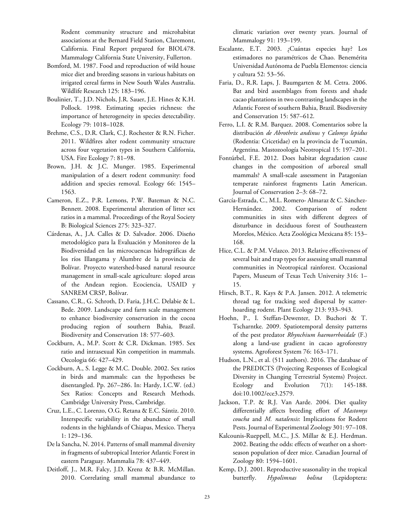Rodent community structure and microhabitat associations at the Bernard Field Station, Claremont, California. Final Report prepared for BIOL478. Mammalogy California State University, Fullerton.

- Bomford, M. 1987. Food and reproduction of wild house mice diet and breeding seasons in various habitats on irrigated cereal farms in New South Wales Australia. Wildlife Research 125: 183–196.
- Boulinier, T., J.D. Nichols, J.R. Sauer, J.E. Hines & K.H. Pollock. 1998. Estimating species richness: the importance of heterogeneity in species detectability. Ecology 79: 1018–1028.
- Brehme, C.S., D.R. Clark, C.J. Rochester & R.N. Ficher. 2011. Wildfires alter rodent community structure across four vegetation types in Southern California, USA. Fire Ecology 7: 81–98.
- Brown, J.H. & J.C. Munger. 1985. Experimental manipulation of a desert rodent community: food addition and species removal. Ecology 66: 1545– 1563.
- Cameron, E.Z., P.R. Lemons, P.W. Bateman & N.C. Bennett. 2008. Experimental alteration of litter sex ratios in a mammal. Proceedings of the Royal Society B: Biological Sciences 275: 323–327.
- Cárdenas, A., J.A. Calles & D. Salvador. 2006. Diseño metodológico para la Evaluación y Monitoreo de la Biodiversidad en las microcuencas hidrográficas de los ríos Illangama y Alumbre de la provincia de Bolívar. Proyecto watershed-based natural resource management in small-scale agriculture: sloped areas of the Andean region. Ecociencia, USAID y SANREM CRSP, Bolívar.
- Cassano, C.R., G. Schroth, D. Faria, J.H.C. Delabie & L. Bede. 2009. Landscape and farm scale management to enhance biodiversity conservation in the cocoa producing region of southern Bahia, Brazil. Biodiversity and Conservation 18: 577–603.
- Cockburn, A., M.P. Scott & C.R. Dickman. 1985. Sex ratio and intrasexual Kin competition in mammals. Oecologia 66: 427–429.
- Cockburn, A., S. Legge & M.C. Double. 2002. Sex ratios in birds and mammals: can the hypotheses be disentangled. Pp. 267–286. In: Hardy, I.C.W. (ed.) Sex Ratios: Concepts and Research Methods. Cambridge University Press, Cambridge.
- Cruz, L.E., C. Lorenzo, O.G. Retana & E.C. Sántiz. 2010. Interspecific variability in the abundance of small rodents in the highlands of Chiapas, Mexico. Therya 1: 129–136.
- De la Sancha, N. 2014. Patterns of small mammal diversity in fragments of subtropical Interior Atlantic Forest in eastern Paraguay. Mammalia 78: 437–449.
- Deitloff, J., M.R. Falcy, J.D. Krenz & B.R. McMillan. 2010. Correlating small mammal abundance to

climatic variation over twenty years. Journal of Mammalogy 91: 193–199.

- Escalante, E.T. 2003. ¿Cuántas especies hay? Los estimadores no paramétricos de Chao. Benemérita Universidad Autónoma de Puebla Elementos: ciencia y cultura 52: 53–56.
- Faria, D., R.R. Laps, J. Baumgarten & M. Cetra. 2006. Bat and bird assemblages from forests and shade cacao plantations in two contrasting landscapes in the Atlantic Forest of southern Bahia, Brazil. Biodiversity and Conservation 15: 587–612.
- Ferro, L.I. & R.M. Barquez. 2008. Comentarios sobre la distribución de Abrothrix andinus y Calomys lepidus (Rodentia: Cricetidae) en la provincia de Tucumán, Argentina. Mastozoología Neotropical 15: 197–201.
- Fontúrbel, F.E. 2012. Does habitat degradation cause changes in the composition of arboreal small mammals? A small-scale assessment in Patagonian temperate rainforest fragments Latin American. Journal of Conservation 2–3: 68–72.
- García-Estrada, C., M.L. Romero- Almaraz & C. Sánchez-Hernández. 2002. Comparison of rodent communities in sites with different degrees of disturbance in deciduous forest of Southeastern Morelos, México. Acta Zoológica Mexicana 85: 153– 168.
- Hice, C.L. & P.M. Velazco. 2013. Relative effectiveness of several bait and trap types for assessing small mammal communities in Neotropical rainforest. Occasional Papers, Museum of Texas Tech University 316: 1– 15.
- Hirsch, B.T., R. Kays & P.A. Jansen. 2012. A telemetric thread tag for tracking seed dispersal by scatterhoarding rodent. Plant Ecology 213: 933–943.
- Hoehn, P., I. Steffan-Dewenter, D. Buchori & T. Tscharntke. 2009. Spatiotemporal density patterns of the pest predator Rhynchium haemorrhoidale (F.) along a land-use gradient in cacao agroforestry systems. Agroforest System 76: 163–171.
- Hudson, L.N., et al. (511 authors). 2016. The database of the PREDICTS (Projecting Responses of Ecological Diversity in Changing Terrestrial Systems) Project. Ecology and Evolution 7(1): 145-188. doi:10.1002/ece3.2579.
- Jackson, T.P. & R.J. Van Aarde. 2004. Diet quality differentially affects breeding effort of Mastomys coucha and M. natalensis: Implications for Rodent Pests. Journal of Experimental Zoology 301: 97–108.
- Kalcounis-Rueppell, M.C., J.S. Millar & E.J. Herdman. 2002. Beating the odds: effects of weather on a shortseason population of deer mice. Canadian Journal of Zoology 80: 1594–1601.
- Kemp, D.J. 2001. Reproductive seasonality in the tropical butterfly. Hypolimnas bolina (Lepidoptera: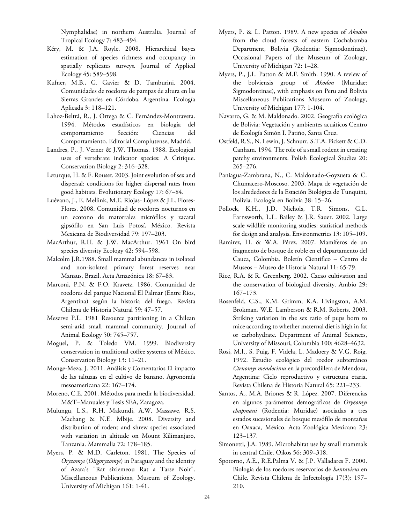Nymphalidae) in northern Australia. Journal of Tropical Ecology 7: 483–494.

- Kéry, M. & J.A. Royle. 2008. Hierarchical bayes estimation of species richness and occupancy in spatially replicates surveys. Journal of Applied Ecology 45: 589–598.
- Kufner, M.B., G. Gavier & D. Tamburini. 2004. Comunidades de roedores de pampas de altura en las Sierras Grandes en Córdoba, Argentina. Ecología Aplicada 3: 118–121.
- Lahoz-Beltrá, R., J. Ortega & C. Fernández-Montraveta. 1994. Métodos estadísticos en biología del comportamiento Sección: Ciencias del Comportamiento. Editorial Complutense, Madrid.
- Landres, P., J. Verner & J.W. Thomas. 1988. Ecological uses of vertebrate indicator species: A Critique. Conservation Biology 2: 316–328.
- Leturque, H. & F. Rouset. 2003. Joint evolution of sex and dispersal: conditions for higher dispersal rates from good habitats. Evolutionary Ecology 17: 67–84.
- Luévano, J., E. Mellink, M.E. Riojas- López & J.L. Flores-Flores. 2008. Comunidad de roedores nocturnos en un ecotono de matorrales micrófilos y zacatal gipsófilo en San Luis Potosí, México. Revista Mexicana de Biodiversidad 79: 197–203.
- MacArthur, R.H. & J.W. MacArthur. 1961 On bird species diversity Ecology 42: 594–598.
- Malcolm J.R.1988. Small mammal abundances in isolated and non-isolated primary forest reserves near Manaus, Brazil. Acta Amazónica 18: 67–83.
- Marconi, P.N. & F.O. Kravetz. 1986. Comunidad de roedores del parque Nacional El Palmar (Entre Ríos, Argentina) según la historia del fuego. Revista Chilena de Historia Natural 59: 47–57.
- Meserve P.L. 1981 Resource partitioning in a Chilean semi-arid small mammal community. Journal of Animal Ecology 50: 745–757.
- Moguel, P. & Toledo VM. 1999. Biodiversity conservation in traditional coffee systems of México. Conservation Biology 13: 11–21.
- Monge-Meza, J. 2011. Análisis y Comentarios El impacto de las taltuzas en el cultivo de banano. Agronomía mesoamericana 22: 167–174.
- Moreno, C.E. 2001. Métodos para medir la biodiversidad. M&T–Manuales y Tesis SEA, Zaragoza.
- Mulungu, L.S., R.H. Makundi, A.W. Massawe, R.S. Machang & N.E. Mbije. 2008. Diversity and distribution of rodent and shrew species associated with variation in altitude on Mount Kilimanjaro, Tanzania. Mammalia 72: 178–185.
- Myers, P. & M.D. Carleton. 1981. The Species of Oryzomys (Oligoryzomys) in Paraguay and the identity of Azara's "Rat sixiemeou Rat a Tarse Noir". Miscellaneous Publications, Museum of Zoology, University of Michigan 161: 1-41.
- Myers, P. & L. Patton. 1989. A new species of Akodon from the cloud forests of eastern Cochabamba Department, Bolivia (Rodentia: Sigmodontinae). Occasional Papers of the Museum of Zoology, University of Michigan 72: 1–28.
- Myers, P., J.L. Patton & M.F. Smith. 1990. A review of the bolviensis group of Akodon (Muridae: Sigmodontinae), with emphasis on Peru and Bolivia Miscellaneous Publications Museum of Zoology, University of Michigan 177: 1-104.
- Navarro, G. & M. Maldonado. 2002. Geografía ecológica de Bolivia: Vegetación y ambientes acuáticos Centro de Ecología Simón I. Patiño, Santa Cruz.
- Ostfeld, R.S., N. Lewin, J. Schnurr, S.T.A. Pickett & C.D. Canham. 1994. The role of a small rodent in creating patchy environments. Polish Ecological Studies 20: 265–276.
- Paniagua-Zambrana, N., C. Maldonado-Goyzueta & C. Chumacero-Moscoso. 2003. Mapa de vegetación de los alrededores de la Estación Biológica de Tunquini, Bolivia. Ecología en Bolivia 38: 15–26.
- Pollock, K.H., J.D. Nichols, T.R. Simons, G.L. Farnsworth, L.L. Bailey & J.R. Sauer. 2002. Large scale wildlife monitoring studies: statistical methods for design and analysis. Environmetrics 13: 105–109.
- Ramirez, H. & W.A. Pérez. 2007. Mamíferos de un fragmento de bosque de roble en el departamento del Cauca, Colombia. Boletín Científico – Centro de Museos – Museo de Historia Natural 11: 65-79.
- Rice, R.A. & R. Greenberg. 2002. Cacao cultivation and the conservation of biological diversity. Ambio 29: 167–173.
- Rosenfeld, C.S., K.M. Grimm, K.A. Livingston, A.M. Brokman, W.E. Lamberson & R.M. Roberts. 2003. Striking variation in the sex ratio of pups born to mice according to whether maternal diet is high in fat or carbohydrate. Department of Animal Sciences, University of Missouri, Columbia 100: 4628–4632.
- Rosi, M.I., S. Puig, F. Videla, L. Madoery & V.G. Roig. 1992. Estudio ecológico del roedor subterráneo Ctenomys mendocinus en la precordillera de Mendoza, Argentina: Ciclo reproductivo y estructura etaria. Revista Chilena de Historia Natural 65: 221–233.
- Santos, A., M.A. Briones & R. López. 2007. Diferencias en algunos parámetros demográficos de Oryzomys chapmani (Rodentia: Muridae) asociadas a tres estados sucesionales de bosque mesófilo de montañas en Oaxaca, México. Acta Zoológica Mexicana 23: 123–137.
- Simonetti, J.A. 1989. Microhabitat use by small mammals in central Chile. Oikos 56: 309–318.
- Spotorno, A.E., R.E.Palma V. & J.P. Valladares F. 2000. Biología de los roedores reservorios de hantavirus en Chile. Revista Chilena de Infectología 17(3): 197– 210.